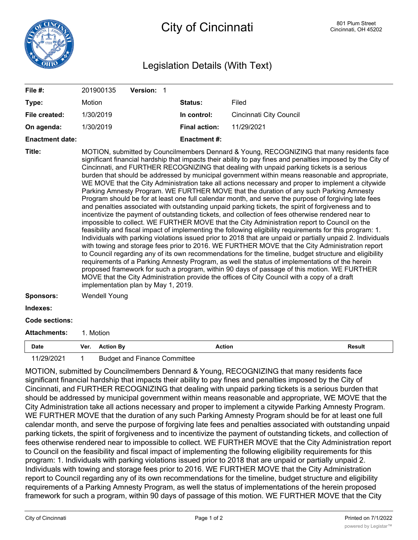

## Legislation Details (With Text)

| File #:                | 201900135                                                                                                                                                                                                                                                                                                                                                                                                                                                                                                                                                                                                                                                                                                                                                                                                                                                                                                                                                                                                                                                                                                                                                                                                                                                                                                                                                                                                                                                                                                                                                                                                                                                                                                                                                                                                     |                  | Version: 1                          |  |                      |                         |               |
|------------------------|---------------------------------------------------------------------------------------------------------------------------------------------------------------------------------------------------------------------------------------------------------------------------------------------------------------------------------------------------------------------------------------------------------------------------------------------------------------------------------------------------------------------------------------------------------------------------------------------------------------------------------------------------------------------------------------------------------------------------------------------------------------------------------------------------------------------------------------------------------------------------------------------------------------------------------------------------------------------------------------------------------------------------------------------------------------------------------------------------------------------------------------------------------------------------------------------------------------------------------------------------------------------------------------------------------------------------------------------------------------------------------------------------------------------------------------------------------------------------------------------------------------------------------------------------------------------------------------------------------------------------------------------------------------------------------------------------------------------------------------------------------------------------------------------------------------|------------------|-------------------------------------|--|----------------------|-------------------------|---------------|
| Type:                  | Motion                                                                                                                                                                                                                                                                                                                                                                                                                                                                                                                                                                                                                                                                                                                                                                                                                                                                                                                                                                                                                                                                                                                                                                                                                                                                                                                                                                                                                                                                                                                                                                                                                                                                                                                                                                                                        |                  |                                     |  | Status:              | Filed                   |               |
| File created:          | 1/30/2019                                                                                                                                                                                                                                                                                                                                                                                                                                                                                                                                                                                                                                                                                                                                                                                                                                                                                                                                                                                                                                                                                                                                                                                                                                                                                                                                                                                                                                                                                                                                                                                                                                                                                                                                                                                                     |                  |                                     |  | In control:          | Cincinnati City Council |               |
| On agenda:             | 1/30/2019                                                                                                                                                                                                                                                                                                                                                                                                                                                                                                                                                                                                                                                                                                                                                                                                                                                                                                                                                                                                                                                                                                                                                                                                                                                                                                                                                                                                                                                                                                                                                                                                                                                                                                                                                                                                     |                  |                                     |  | <b>Final action:</b> | 11/29/2021              |               |
| <b>Enactment date:</b> |                                                                                                                                                                                                                                                                                                                                                                                                                                                                                                                                                                                                                                                                                                                                                                                                                                                                                                                                                                                                                                                                                                                                                                                                                                                                                                                                                                                                                                                                                                                                                                                                                                                                                                                                                                                                               |                  |                                     |  | <b>Enactment#:</b>   |                         |               |
| Title:                 | MOTION, submitted by Councilmembers Dennard & Young, RECOGNIZING that many residents face<br>significant financial hardship that impacts their ability to pay fines and penalties imposed by the City of<br>Cincinnati, and FURTHER RECOGNIZING that dealing with unpaid parking tickets is a serious<br>burden that should be addressed by municipal government within means reasonable and appropriate,<br>WE MOVE that the City Administration take all actions necessary and proper to implement a citywide<br>Parking Amnesty Program. WE FURTHER MOVE that the duration of any such Parking Amnesty<br>Program should be for at least one full calendar month, and serve the purpose of forgiving late fees<br>and penalties associated with outstanding unpaid parking tickets, the spirit of forgiveness and to<br>incentivize the payment of outstanding tickets, and collection of fees otherwise rendered near to<br>impossible to collect. WE FURTHER MOVE that the City Administration report to Council on the<br>feasibility and fiscal impact of implementing the following eligibility requirements for this program: 1.<br>Individuals with parking violations issued prior to 2018 that are unpaid or partially unpaid 2. Individuals<br>with towing and storage fees prior to 2016. WE FURTHER MOVE that the City Administration report<br>to Council regarding any of its own recommendations for the timeline, budget structure and eligibility<br>requirements of a Parking Amnesty Program, as well the status of implementations of the herein<br>proposed framework for such a program, within 90 days of passage of this motion. WE FURTHER<br>MOVE that the City Administration provide the offices of City Council with a copy of a draft<br>implementation plan by May 1, 2019. |                  |                                     |  |                      |                         |               |
| <b>Sponsors:</b>       | <b>Wendell Young</b>                                                                                                                                                                                                                                                                                                                                                                                                                                                                                                                                                                                                                                                                                                                                                                                                                                                                                                                                                                                                                                                                                                                                                                                                                                                                                                                                                                                                                                                                                                                                                                                                                                                                                                                                                                                          |                  |                                     |  |                      |                         |               |
| Indexes:               |                                                                                                                                                                                                                                                                                                                                                                                                                                                                                                                                                                                                                                                                                                                                                                                                                                                                                                                                                                                                                                                                                                                                                                                                                                                                                                                                                                                                                                                                                                                                                                                                                                                                                                                                                                                                               |                  |                                     |  |                      |                         |               |
| <b>Code sections:</b>  |                                                                                                                                                                                                                                                                                                                                                                                                                                                                                                                                                                                                                                                                                                                                                                                                                                                                                                                                                                                                                                                                                                                                                                                                                                                                                                                                                                                                                                                                                                                                                                                                                                                                                                                                                                                                               |                  |                                     |  |                      |                         |               |
| <b>Attachments:</b>    | 1. Motion                                                                                                                                                                                                                                                                                                                                                                                                                                                                                                                                                                                                                                                                                                                                                                                                                                                                                                                                                                                                                                                                                                                                                                                                                                                                                                                                                                                                                                                                                                                                                                                                                                                                                                                                                                                                     |                  |                                     |  |                      |                         |               |
| <b>Date</b>            | Ver.                                                                                                                                                                                                                                                                                                                                                                                                                                                                                                                                                                                                                                                                                                                                                                                                                                                                                                                                                                                                                                                                                                                                                                                                                                                                                                                                                                                                                                                                                                                                                                                                                                                                                                                                                                                                          | <b>Action By</b> |                                     |  | <b>Action</b>        |                         | <b>Result</b> |
| 11/29/2021             | $\mathbf 1$                                                                                                                                                                                                                                                                                                                                                                                                                                                                                                                                                                                                                                                                                                                                                                                                                                                                                                                                                                                                                                                                                                                                                                                                                                                                                                                                                                                                                                                                                                                                                                                                                                                                                                                                                                                                   |                  | <b>Budget and Finance Committee</b> |  |                      |                         |               |

MOTION, submitted by Councilmembers Dennard & Young, RECOGNIZING that many residents face significant financial hardship that impacts their ability to pay fines and penalties imposed by the City of Cincinnati, and FURTHER RECOGNIZING that dealing with unpaid parking tickets is a serious burden that should be addressed by municipal government within means reasonable and appropriate, WE MOVE that the City Administration take all actions necessary and proper to implement a citywide Parking Amnesty Program. WE FURTHER MOVE that the duration of any such Parking Amnesty Program should be for at least one full calendar month, and serve the purpose of forgiving late fees and penalties associated with outstanding unpaid parking tickets, the spirit of forgiveness and to incentivize the payment of outstanding tickets, and collection of fees otherwise rendered near to impossible to collect. WE FURTHER MOVE that the City Administration report to Council on the feasibility and fiscal impact of implementing the following eligibility requirements for this program: 1. Individuals with parking violations issued prior to 2018 that are unpaid or partially unpaid 2. Individuals with towing and storage fees prior to 2016. WE FURTHER MOVE that the City Administration report to Council regarding any of its own recommendations for the timeline, budget structure and eligibility requirements of a Parking Amnesty Program, as well the status of implementations of the herein proposed framework for such a program, within 90 days of passage of this motion. WE FURTHER MOVE that the City